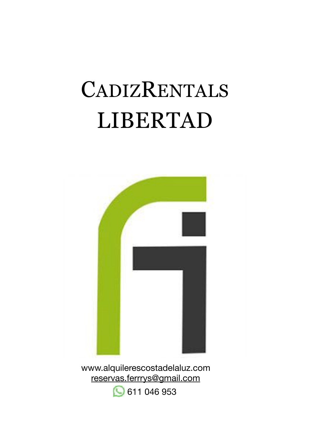## CADIZRENTALS LIBERTAD

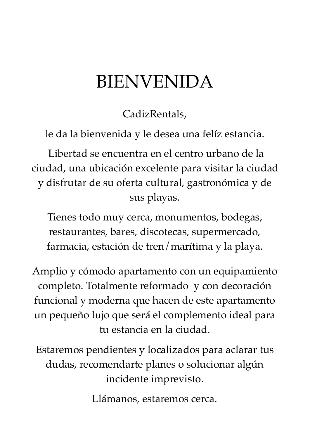## BIENVENIDA

CadizRentals,

le da la bienvenida y le desea una felíz estancia.

 Libertad se encuentra en el centro urbano de la ciudad, una ubicación excelente para visitar la ciudad y disfrutar de su oferta cultural, gastronómica y de sus playas.

Tienes todo muy cerca, monumentos, bodegas, restaurantes, bares, discotecas, supermercado, farmacia, estación de tren/marítima y la playa.

Amplio y cómodo apartamento con un equipamiento completo. Totalmente reformado y con decoración funcional y moderna que hacen de este apartamento un pequeño lujo que será el complemento ideal para tu estancia en la ciudad.

Estaremos pendientes y localizados para aclarar tus dudas, recomendarte planes o solucionar algún incidente imprevisto.

Llámanos, estaremos cerca.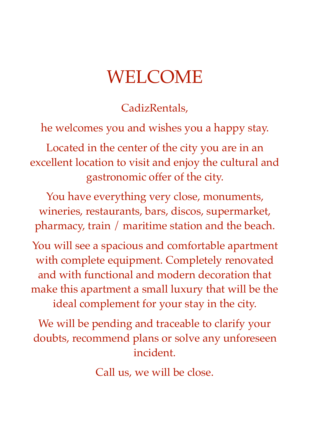## WELCOME

CadizRentals,

he welcomes you and wishes you a happy stay.

Located in the center of the city you are in an excellent location to visit and enjoy the cultural and gastronomic offer of the city.

You have everything very close, monuments, wineries, restaurants, bars, discos, supermarket, pharmacy, train / maritime station and the beach.

You will see a spacious and comfortable apartment with complete equipment. Completely renovated and with functional and modern decoration that make this apartment a small luxury that will be the ideal complement for your stay in the city.

We will be pending and traceable to clarify your doubts, recommend plans or solve any unforeseen incident.

Call us, we will be close.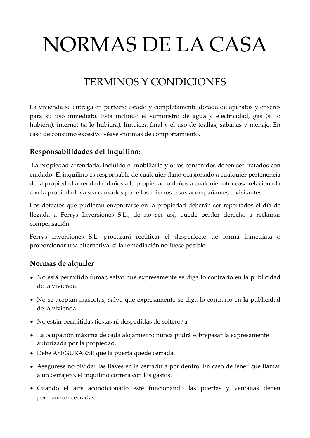## NORMAS DE LA CASA

## TERMINOS Y CONDICIONES

La vivienda se entrega en perfecto estado y completamente dotada de aparatos y enseres para su uso inmediato. Está incluido el suministro de agua y electricidad, gas (si lo hubiera), internet (si lo hubiera), limpieza final y el uso de toallas, sábanas y menaje. En caso de consumo excesivo véase -normas de comportamiento.

#### **Responsabilidades del inquilino:**

 La propiedad arrendada, incluido el mobiliario y otros contenidos deben ser tratados con cuidado. El inquilino es responsable de cualquier daño ocasionado a cualquier pertenencia de la propiedad arrendada, daños a la propiedad o daños a cualquier otra cosa relacionada con la propiedad, ya sea causados por ellos mismos o sus acompañantes o visitantes.

Los defectos que pudieran encontrarse en la propiedad deberán ser reportados el día de llegada a Ferrys Inversiones S.L., de no ser así, puede perder derecho a reclamar compensación.

Ferrys Inversiones S.L. procurará rectificar el desperfecto de forma inmediata o proporcionar una alternativa, si la remediación no fuese posible.

#### **Normas de alquiler**

- No está permitido fumar, salvo que expresamente se diga lo contrario en la publicidad de la vivienda.
- No se aceptan mascotas, salvo que expresamente se diga lo contrario en la publicidad de la vivienda.
- No están permitidas fiestas ni despedidas de soltero/a.
- La ocupación máxima de cada alojamiento nunca podrá sobrepasar la expresamente autorizada por la propiedad.
- Debe ASEGURARSE que la puerta quede cerrada.
- Asegúrese no olvidar las llaves en la cerradura por dentro. En caso de tener que llamar a un cerrajero, el inquilino correrá con los gastos.
- Cuando el aire acondicionado esté funcionando las puertas y ventanas deben permanecer cerradas.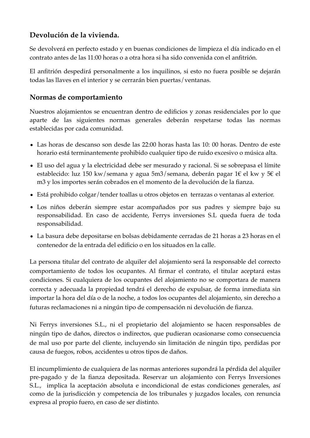#### **Devolución de la vivienda.**

Se devolverá en perfecto estado y en buenas condiciones de limpieza el día indicado en el contrato antes de las 11:00 horas o a otra hora si ha sido convenida con el anfitrión.

El anfitrión despedirá personalmente a los inquilinos, si esto no fuera posible se dejarán todas las llaves en el interior y se cerrarán bien puertas/ventanas.

#### **Normas de comportamiento**

Nuestros alojamientos se encuentran dentro de edificios y zonas residenciales por lo que aparte de las siguientes normas generales deberán respetarse todas las normas establecidas por cada comunidad.

- Las horas de descanso son desde las 22:00 horas hasta las 10: 00 horas. Dentro de este horario está terminantemente prohibido cualquier tipo de ruido excesivo o música alta.
- El uso del agua y la electricidad debe ser mesurado y racional. Si se sobrepasa el límite establecido: luz 150 kw/semana y agua 5m3/semana, deberán pagar 1€ el kw y 5€ el m3 y los importes serán cobrados en el momento de la devolución de la fianza.
- Está prohibido colgar/tender toallas u otros objetos en terrazas o ventanas al exterior.
- Los niños deberán siempre estar acompañados por sus padres y siempre bajo su responsabilidad. En caso de accidente, Ferrys inversiones S.L queda fuera de toda responsabilidad.
- La basura debe depositarse en bolsas debidamente cerradas de 21 horas a 23 horas en el contenedor de la entrada del edificio o en los situados en la calle.

La persona titular del contrato de alquiler del alojamiento será la responsable del correcto comportamiento de todos los ocupantes. Al firmar el contrato, el titular aceptará estas condiciones. Si cualquiera de los ocupantes del alojamiento no se comportara de manera correcta y adecuada la propiedad tendrá el derecho de expulsar, de forma inmediata sin importar la hora del día o de la noche, a todos los ocupantes del alojamiento, sin derecho a futuras reclamaciones ni a ningún tipo de compensación ni devolución de fianza.

Ni Ferrys inversiones S.L., ni el propietario del alojamiento se hacen responsables de ningún tipo de daños, directos o indirectos, que pudieran ocasionarse como consecuencia de mal uso por parte del cliente, incluyendo sin limitación de ningún tipo, perdidas por causa de fuegos, robos, accidentes u otros tipos de daños.

El incumplimiento de cualquiera de las normas anteriores supondrá la pérdida del alquiler pre-pagado y de la fianza depositada. Reservar un alojamiento con Ferrys Inversiones S.L., implica la aceptación absoluta e incondicional de estas condiciones generales, así como de la jurisdicción y competencia de los tribunales y juzgados locales, con renuncia expresa al propio fuero, en caso de ser distinto.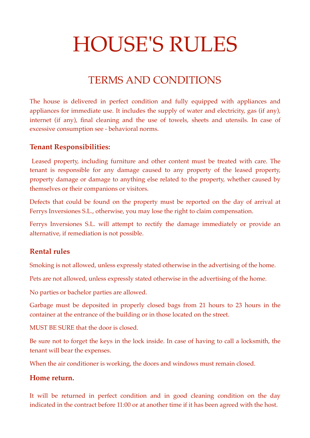## HOUSE'S RULES

### TERMS AND CONDITIONS

The house is delivered in perfect condition and fully equipped with appliances and appliances for immediate use. It includes the supply of water and electricity, gas (if any), internet (if any), final cleaning and the use of towels, sheets and utensils. In case of excessive consumption see - behavioral norms.

#### **Tenant Responsibilities:**

Leased property, including furniture and other content must be treated with care. The tenant is responsible for any damage caused to any property of the leased property, property damage or damage to anything else related to the property, whether caused by themselves or their companions or visitors.

Defects that could be found on the property must be reported on the day of arrival at Ferrys Inversiones S.L., otherwise, you may lose the right to claim compensation.

Ferrys Inversiones S.L. will attempt to rectify the damage immediately or provide an alternative, if remediation is not possible.

#### **Rental rules**

Smoking is not allowed, unless expressly stated otherwise in the advertising of the home.

Pets are not allowed, unless expressly stated otherwise in the advertising of the home.

No parties or bachelor parties are allowed.

Garbage must be deposited in properly closed bags from 21 hours to 23 hours in the container at the entrance of the building or in those located on the street.

MUST BE SURE that the door is closed.

Be sure not to forget the keys in the lock inside. In case of having to call a locksmith, the tenant will bear the expenses.

When the air conditioner is working, the doors and windows must remain closed.

#### **Home return.**

It will be returned in perfect condition and in good cleaning condition on the day indicated in the contract before 11:00 or at another time if it has been agreed with the host.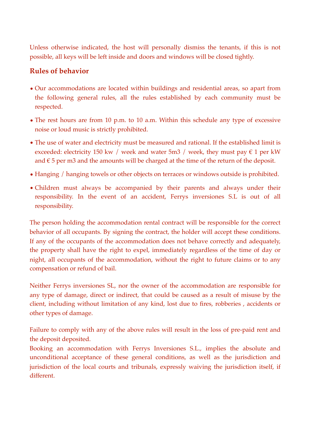Unless otherwise indicated, the host will personally dismiss the tenants, if this is not possible, all keys will be left inside and doors and windows will be closed tightly.

#### **Rules of behavior**

- Our accommodations are located within buildings and residential areas, so apart from the following general rules, all the rules established by each community must be respected.
- The rest hours are from 10 p.m. to 10 a.m. Within this schedule any type of excessive noise or loud music is strictly prohibited.
- The use of water and electricity must be measured and rational. If the established limit is exceeded: electricity 150 kw / week and water 5m3 / week, they must pay  $\epsilon$  1 per kW and  $\epsilon$  5 per m3 and the amounts will be charged at the time of the return of the deposit.
- Hanging / hanging towels or other objects on terraces or windows outside is prohibited.
- Children must always be accompanied by their parents and always under their responsibility. In the event of an accident, Ferrys inversiones S.L is out of all responsibility.

The person holding the accommodation rental contract will be responsible for the correct behavior of all occupants. By signing the contract, the holder will accept these conditions. If any of the occupants of the accommodation does not behave correctly and adequately, the property shall have the right to expel, immediately regardless of the time of day or night, all occupants of the accommodation, without the right to future claims or to any compensation or refund of bail.

Neither Ferrys inversiones SL, nor the owner of the accommodation are responsible for any type of damage, direct or indirect, that could be caused as a result of misuse by the client, including without limitation of any kind, lost due to fires, robberies , accidents or other types of damage.

Failure to comply with any of the above rules will result in the loss of pre-paid rent and the deposit deposited.

Booking an accommodation with Ferrys Inversiones S.L., implies the absolute and unconditional acceptance of these general conditions, as well as the jurisdiction and jurisdiction of the local courts and tribunals, expressly waiving the jurisdiction itself, if different.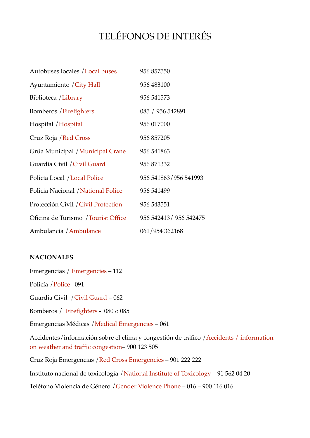### TELÉFONOS DE INTERÉS

| Autobuses locales / Local buses     | 956 857550              |
|-------------------------------------|-------------------------|
| Ayuntamiento / City Hall            | 956 483100              |
| Biblioteca / Library                | 956 541573              |
| Bomberos / Firefighters             | 085 / 956 542891        |
| Hospital / Hospital                 | 956 017000              |
| Cruz Roja / Red Cross               | 956 857205              |
| Grúa Municipal / Municipal Crane    | 956 541863              |
| Guardia Civil / Civil Guard         | 956 871332              |
| Policía Local / Local Police        | 956 541863/956 541993   |
| Policía Nacional / National Police  | 956 541499              |
| Protección Civil / Civil Protection | 956 543551              |
| Oficina de Turismo / Tourist Office | 956 542413 / 956 542475 |
| Ambulancia / Ambulance              | 061/954 362168          |

#### **NACIONALES**

Emergencias / Emergencies – 112

Policía /Police– 091

Guardia Civil /Civil Guard – 062

Bomberos / Firefighters - 080 o 085

Emergencias Médicas /Medical Emergencies – 061

Accidentes/información sobre el clima y congestión de tráfico /Accidents / information on weather and traffic congestion– 900 123 505

Cruz Roja Emergencias /Red Cross Emergencies – 901 222 222

Instituto nacional de toxicología /National Institute of Toxicology – 91 562 04 20

Teléfono Violencia de Género /Gender Violence Phone – 016 – 900 116 016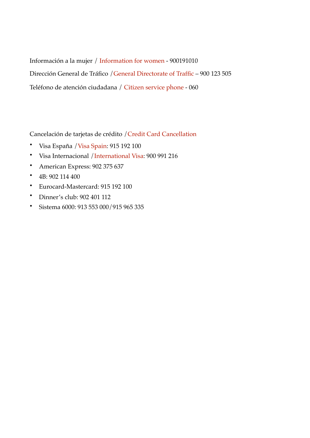Información a la mujer / Information for women - 900191010 Dirección General de Tráfico /General Directorate of Traffic – 900 123 505 Teléfono de atención ciudadana / Citizen service phone - 060

Cancelación de tarjetas de crédito /Credit Card Cancellation

- Visa España /Visa Spain: 915 192 100
- Visa Internacional /International Visa: 900 991 216
- American Express: 902 375 637
- 4B: 902 114 400
- Eurocard-Mastercard: 915 192 100
- Dinner's club: 902 401 112
- Sistema 6000: 913 553 000/915 965 335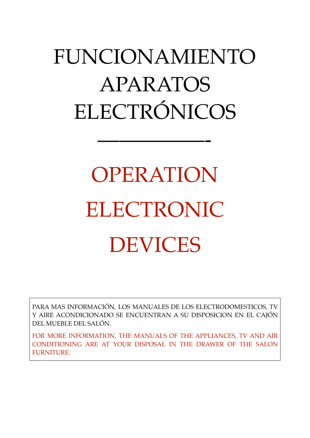## **FUNCIONAMIENTO** APARATOS ELECTRÓNICOS

# OPERATION ELECTRONIC **DEVICES**

PARA MAS INFORMACIÓN, LOS MANUALES DE LOS ELECTRODOMESTICOS, TV Y AIRE ACONDICIONADO SE ENCUENTRAN A SU DISPOSICION EN EL CAJÓN DEL MUEBLE DEL SALÓN.

FOR MORE INFORMATION, THE MANUALS OF THE APPLIANCES, TV AND AIR CONDITIONING ARE AT YOUR DISPOSAL IN THE DRAWER OF THE SALON **FURNITURE.**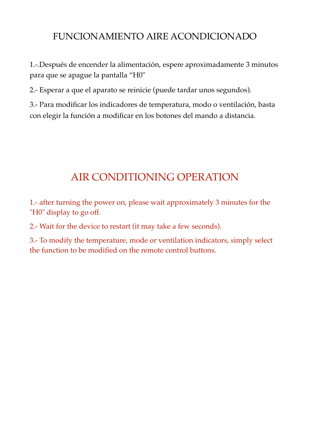### FUNCIONAMIENTO AIRE ACONDICIONADO

1.-.Después de encender la alimentación, espere aproximadamente 3 minutos para que se apague la pantalla "H0"

2.- Esperar a que el aparato se reinicie (puede tardar unos segundos).

3.- Para modificar los indicadores de temperatura, modo o ventilación, basta con elegir la función a modificar en los botones del mando a distancia.

### AIR CONDITIONING OPERATION

1.- after turning the power on, please wait approximately 3 minutes for the "H0" display to go off.

2.- Wait for the device to restart (it may take a few seconds).

3.- To modify the temperature, mode or ventilation indicators, simply select the function to be modified on the remote control buttons.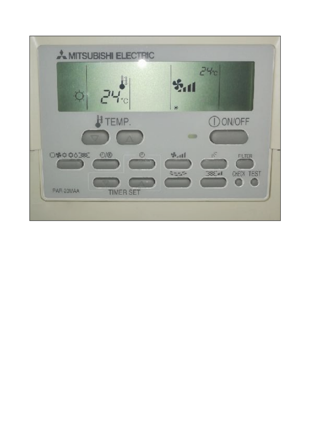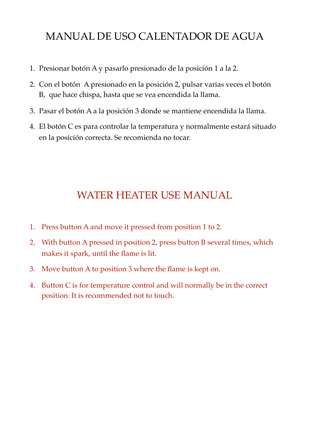### MANUAL DE USO CALENTADOR DE AGUA

- 1. Presionar botón A y pasarlo presionado de la posición 1 a la 2.
- 2. Con el botón A presionado en la posición 2, pulsar varias veces el botón B, que hace chispa, hasta que se vea encendida la llama.
- 3. Pasar el botón A a la posición 3 donde se mantiene encendida la llama.
- 4. El botón C es para controlar la temperatura y normalmente estará situado en la posición correcta. Se recomienda no tocar.

### WATER HEATER USE MANUAL

- 1. Press button A and move it pressed from position 1 to 2.
- 2. With button A pressed in position 2, press button B several times, which makes it spark, until the flame is lit.
- 3. Move button A to position 3 where the flame is kept on.
- 4. Button C is for temperature control and will normally be in the correct position. It is recommended not to touch.